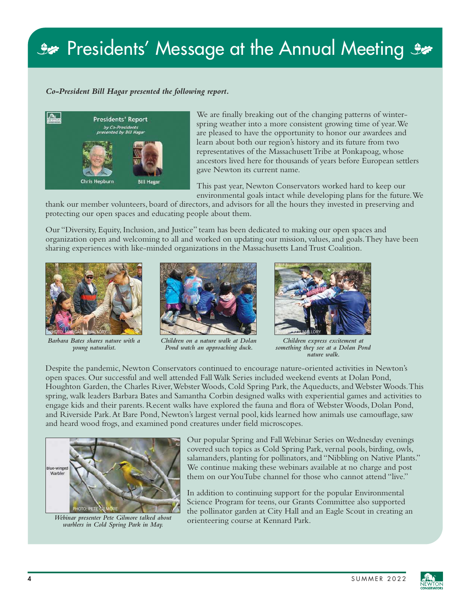## Se Presidents' Message at the Annual Meeting Se

## *Co-President Bill Hagar presented the following report.*



We are finally breaking out of the changing patterns of winterspring weather into a more consistent growing time of year. We are pleased to have the opportunity to honor our awardees and learn about both our region's history and its future from two representatives of the Massachusett Tribe at Ponkapoag, whose ancestors lived here for thousands of years before European settlers gave Newton its current name.

This past year, Newton Conservators worked hard to keep our environmental goals intact while developing plans for the future. We

thank our member volunteers, board of directors, and advisors for all the hours they invested in preserving and protecting our open spaces and educating people about them.

Our "Diversity, Equity, Inclusion, and Justice" team has been dedicated to making our open spaces and organization open and welcoming to all and worked on updating our mission, values, and goals. They have been sharing experiences with like-minded organizations in the Massachusetts Land Trust Coalition.



*Barbara Bates shares nature with a young naturalist.*



*Children on a nature walk at Dolan Pond watch an approaching duck.*



*Children express excitement at something they see at a Dolan Pond nature walk.* 

Despite the pandemic, Newton Conservators continued to encourage nature-oriented activities in Newton's open spaces. Our successful and well attended Fall Walk Series included weekend events at Dolan Pond, Houghton Garden, the Charles River, Webster Woods, Cold Spring Park, the Aqueducts, and Webster Woods. This spring, walk leaders Barbara Bates and Samantha Corbin designed walks with experiential games and activities to engage kids and their parents. Recent walks have explored the fauna and flora of Webster Woods, Dolan Pond, and Riverside Park. At Bare Pond, Newton's largest vernal pool, kids learned how animals use camouflage, saw and heard wood frogs, and examined pond creatures under field microscopes.



*Webinar presenter Pete Gilmore talked about warblers in Cold Spring Park in May.*

Our popular Spring and Fall Webinar Series on Wednesday evenings covered such topics as Cold Spring Park, vernal pools, birding, owls, salamanders, planting for pollinators, and "Nibbling on Native Plants." We continue making these webinars available at no charge and post them on our YouTube channel for those who cannot attend "live."

In addition to continuing support for the popular Environmental Science Program for teens, our Grants Committee also supported the pollinator garden at City Hall and an Eagle Scout in creating an orienteering course at Kennard Park.

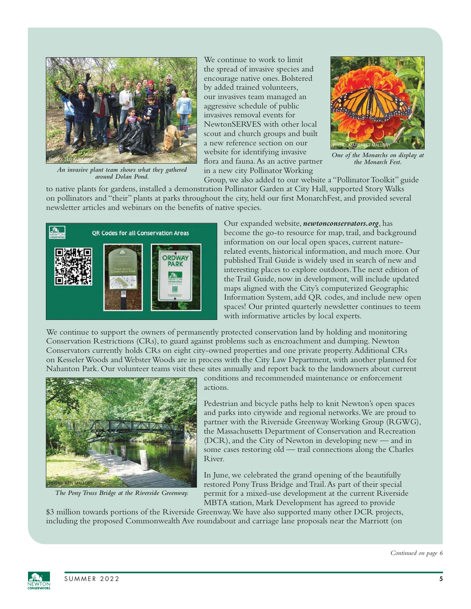

*An invasive plant team shows what they gathered around Dolan Pond.*

We continue to work to limit the spread of invasive species and encourage native ones. Bolstered by added trained volunteers, our invasives team managed an aggressive schedule of public invasives removal events for NewtonSERVES with other local scout and church groups and built a new reference section on our website for identifying invasive flora and fauna. As an active partner in a new city Pollinator Working



*One of the Monarchs on display at the Monarch Fest.* 

Group, we also added to our website a "Pollinator Toolkit" guide to native plants for gardens, installed a demonstration Pollinator Garden at City Hall, supported Story Walks on pollinators and "their" plants at parks throughout the city, held our first MonarchFest, and provided several newsletter articles and webinars on the benefits of native species.



Our expanded website, *newtonconservators.org*, has become the go-to resource for map, trail, and background information on our local open spaces, current naturerelated events, historical information, and much more. Our published Trail Guide is widely used in search of new and interesting places to explore outdoors. The next edition of the Trail Guide, now in development, will include updated maps aligned with the City's computerized Geographic Information System, add QR codes, and include new open spaces! Our printed quarterly newsletter continues to teem with informative articles by local experts.

We continue to support the owners of permanently protected conservation land by holding and monitoring Conservation Restrictions (CRs), to guard against problems such as encroachment and dumping. Newton Conservators currently holds CRs on eight city-owned properties and one private property. Additional CRs on Kesseler Woods and Webster Woods are in process with the City Law Department, with another planned for Nahanton Park. Our volunteer teams visit these sites annually and report back to the landowners about current



*The Pony Truss Bridge at the Riverside Greenway.* 

conditions and recommended maintenance or enforcement actions.

Pedestrian and bicycle paths help to knit Newton's open spaces and parks into citywide and regional networks. We are proud to partner with the Riverside Greenway Working Group (RGWG), the Massachusetts Department of Conservation and Recreation (DCR), and the City of Newton in developing new — and in some cases restoring old — trail connections along the Charles River.

In June, we celebrated the grand opening of the beautifully restored Pony Truss Bridge and Trail. As part of their special permit for a mixed-use development at the current Riverside MBTA station, Mark Development has agreed to provide

\$3 million towards portions of the Riverside Greenway. We have also supported many other DCR projects, including the proposed Commonwealth Ave roundabout and carriage lane proposals near the Marriott (on